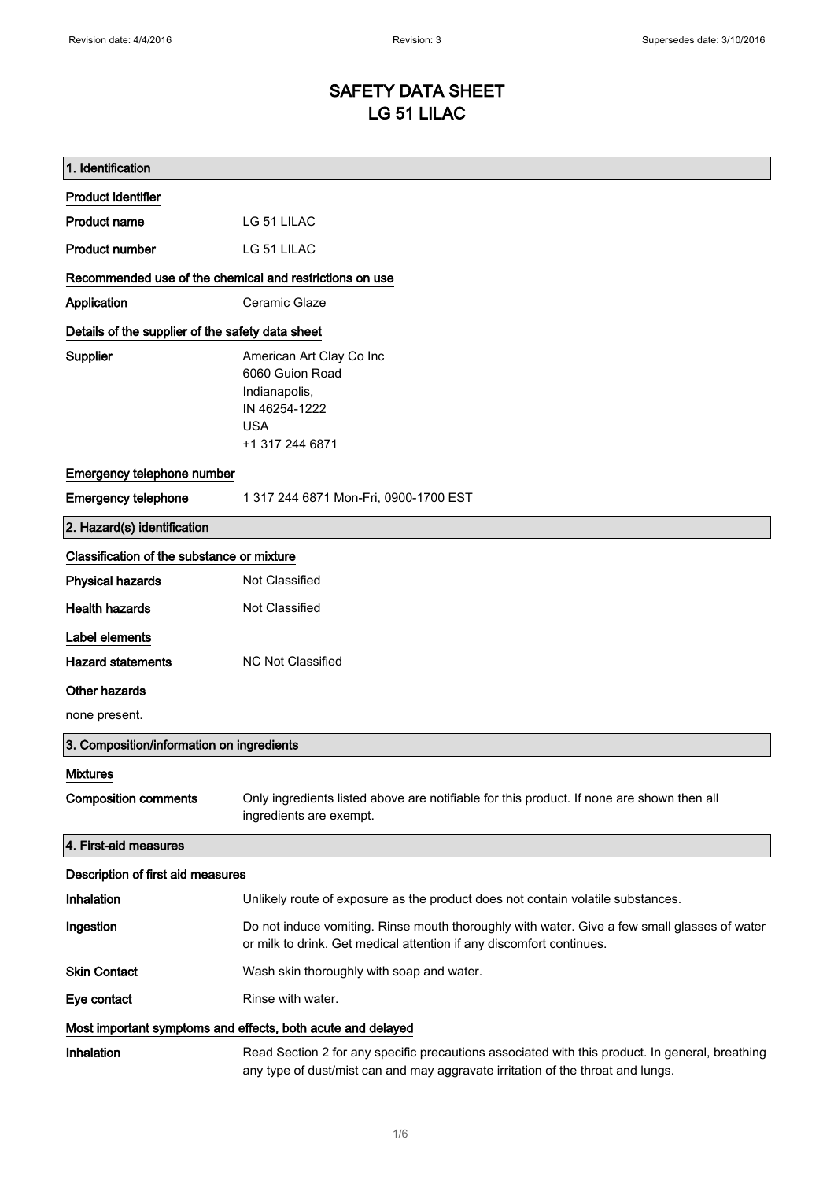# SAFETY DATA SHEET LG 51 LILAC

| 1. Identification                                           |                                                                                                                                                                                    |  |
|-------------------------------------------------------------|------------------------------------------------------------------------------------------------------------------------------------------------------------------------------------|--|
| <b>Product identifier</b>                                   |                                                                                                                                                                                    |  |
| <b>Product name</b>                                         | LG 51 LILAC                                                                                                                                                                        |  |
| <b>Product number</b>                                       | LG 51 LILAC                                                                                                                                                                        |  |
| Recommended use of the chemical and restrictions on use     |                                                                                                                                                                                    |  |
| Application                                                 | Ceramic Glaze                                                                                                                                                                      |  |
| Details of the supplier of the safety data sheet            |                                                                                                                                                                                    |  |
| <b>Supplier</b>                                             | American Art Clay Co Inc                                                                                                                                                           |  |
|                                                             | 6060 Guion Road<br>Indianapolis,                                                                                                                                                   |  |
|                                                             | IN 46254-1222                                                                                                                                                                      |  |
|                                                             | <b>USA</b>                                                                                                                                                                         |  |
|                                                             | +1 317 244 6871                                                                                                                                                                    |  |
| Emergency telephone number                                  |                                                                                                                                                                                    |  |
| <b>Emergency telephone</b>                                  | 1 317 244 6871 Mon-Fri, 0900-1700 EST                                                                                                                                              |  |
| 2. Hazard(s) identification                                 |                                                                                                                                                                                    |  |
| Classification of the substance or mixture                  |                                                                                                                                                                                    |  |
| <b>Physical hazards</b>                                     | Not Classified                                                                                                                                                                     |  |
| <b>Health hazards</b>                                       | Not Classified                                                                                                                                                                     |  |
| Label elements                                              |                                                                                                                                                                                    |  |
| <b>Hazard statements</b>                                    | <b>NC Not Classified</b>                                                                                                                                                           |  |
| Other hazards                                               |                                                                                                                                                                                    |  |
| none present.                                               |                                                                                                                                                                                    |  |
| 3. Composition/information on ingredients                   |                                                                                                                                                                                    |  |
| <b>Mixtures</b>                                             |                                                                                                                                                                                    |  |
| <b>Composition comments</b>                                 | Only ingredients listed above are notifiable for this product. If none are shown then all<br>ingredients are exempt.                                                               |  |
| 4. First-aid measures                                       |                                                                                                                                                                                    |  |
| Description of first aid measures                           |                                                                                                                                                                                    |  |
| Inhalation                                                  | Unlikely route of exposure as the product does not contain volatile substances.                                                                                                    |  |
| Ingestion                                                   | Do not induce vomiting. Rinse mouth thoroughly with water. Give a few small glasses of water<br>or milk to drink. Get medical attention if any discomfort continues.               |  |
| <b>Skin Contact</b>                                         | Wash skin thoroughly with soap and water.                                                                                                                                          |  |
| Eye contact                                                 | Rinse with water.                                                                                                                                                                  |  |
| Most important symptoms and effects, both acute and delayed |                                                                                                                                                                                    |  |
| Inhalation                                                  | Read Section 2 for any specific precautions associated with this product. In general, breathing<br>any type of dust/mist can and may aggravate irritation of the throat and lungs. |  |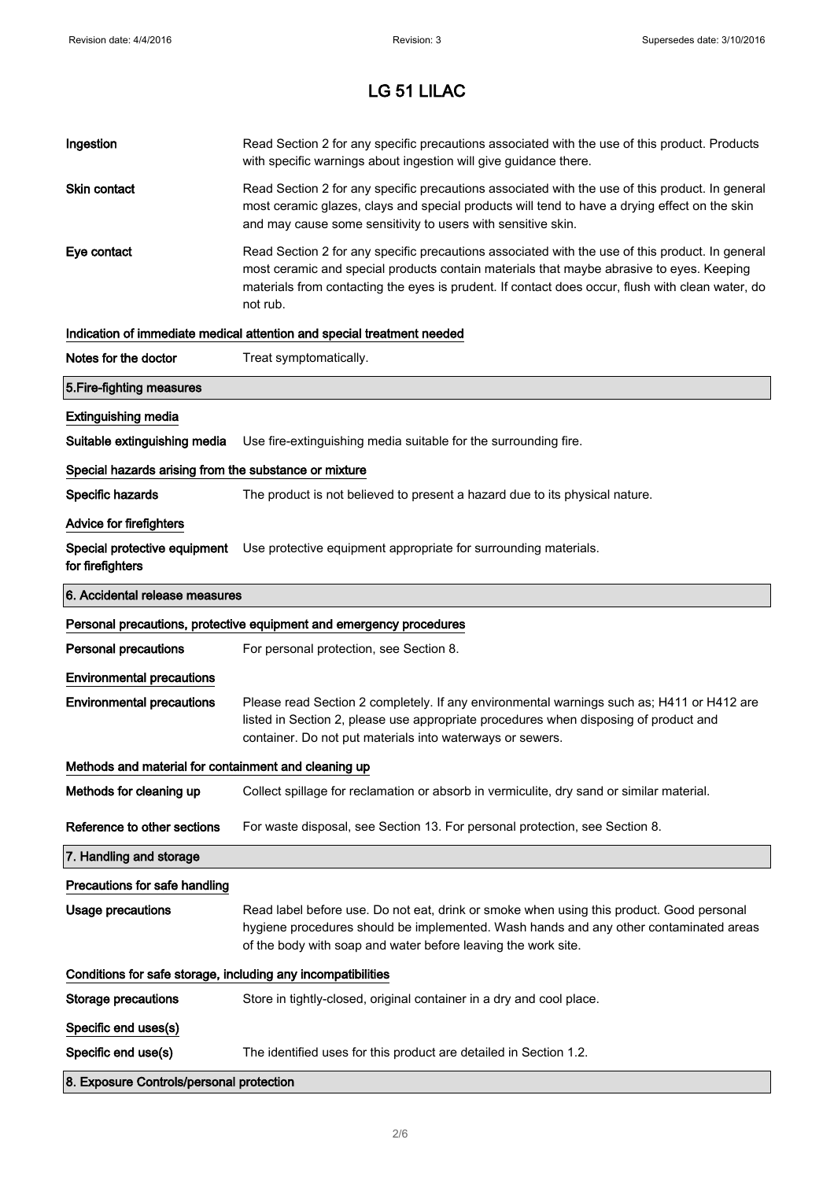| Ingestion                                                    | Read Section 2 for any specific precautions associated with the use of this product. Products<br>with specific warnings about ingestion will give guidance there.                                                                                                                                           |
|--------------------------------------------------------------|-------------------------------------------------------------------------------------------------------------------------------------------------------------------------------------------------------------------------------------------------------------------------------------------------------------|
| Skin contact                                                 | Read Section 2 for any specific precautions associated with the use of this product. In general<br>most ceramic glazes, clays and special products will tend to have a drying effect on the skin<br>and may cause some sensitivity to users with sensitive skin.                                            |
| Eye contact                                                  | Read Section 2 for any specific precautions associated with the use of this product. In general<br>most ceramic and special products contain materials that maybe abrasive to eyes. Keeping<br>materials from contacting the eyes is prudent. If contact does occur, flush with clean water, do<br>not rub. |
|                                                              | Indication of immediate medical attention and special treatment needed                                                                                                                                                                                                                                      |
| Notes for the doctor                                         | Treat symptomatically.                                                                                                                                                                                                                                                                                      |
| 5. Fire-fighting measures                                    |                                                                                                                                                                                                                                                                                                             |
| <b>Extinguishing media</b>                                   |                                                                                                                                                                                                                                                                                                             |
| Suitable extinguishing media                                 | Use fire-extinguishing media suitable for the surrounding fire.                                                                                                                                                                                                                                             |
| Special hazards arising from the substance or mixture        |                                                                                                                                                                                                                                                                                                             |
| Specific hazards                                             | The product is not believed to present a hazard due to its physical nature.                                                                                                                                                                                                                                 |
| <b>Advice for firefighters</b>                               |                                                                                                                                                                                                                                                                                                             |
| for firefighters                                             | Special protective equipment Use protective equipment appropriate for surrounding materials.                                                                                                                                                                                                                |
| 6. Accidental release measures                               |                                                                                                                                                                                                                                                                                                             |
|                                                              | Personal precautions, protective equipment and emergency procedures                                                                                                                                                                                                                                         |
| <b>Personal precautions</b>                                  | For personal protection, see Section 8.                                                                                                                                                                                                                                                                     |
| <b>Environmental precautions</b>                             |                                                                                                                                                                                                                                                                                                             |
| <b>Environmental precautions</b>                             | Please read Section 2 completely. If any environmental warnings such as; H411 or H412 are<br>listed in Section 2, please use appropriate procedures when disposing of product and<br>container. Do not put materials into waterways or sewers.                                                              |
| Methods and material for containment and cleaning up         |                                                                                                                                                                                                                                                                                                             |
| Methods for cleaning up                                      |                                                                                                                                                                                                                                                                                                             |
|                                                              | Collect spillage for reclamation or absorb in vermiculite, dry sand or similar material.                                                                                                                                                                                                                    |
| Reference to other sections                                  | For waste disposal, see Section 13. For personal protection, see Section 8.                                                                                                                                                                                                                                 |
| 7. Handling and storage                                      |                                                                                                                                                                                                                                                                                                             |
| Precautions for safe handling                                |                                                                                                                                                                                                                                                                                                             |
| Usage precautions                                            | Read label before use. Do not eat, drink or smoke when using this product. Good personal<br>hygiene procedures should be implemented. Wash hands and any other contaminated areas<br>of the body with soap and water before leaving the work site.                                                          |
| Conditions for safe storage, including any incompatibilities |                                                                                                                                                                                                                                                                                                             |
| <b>Storage precautions</b>                                   | Store in tightly-closed, original container in a dry and cool place.                                                                                                                                                                                                                                        |
| Specific end uses(s)                                         |                                                                                                                                                                                                                                                                                                             |
| Specific end use(s)                                          | The identified uses for this product are detailed in Section 1.2.                                                                                                                                                                                                                                           |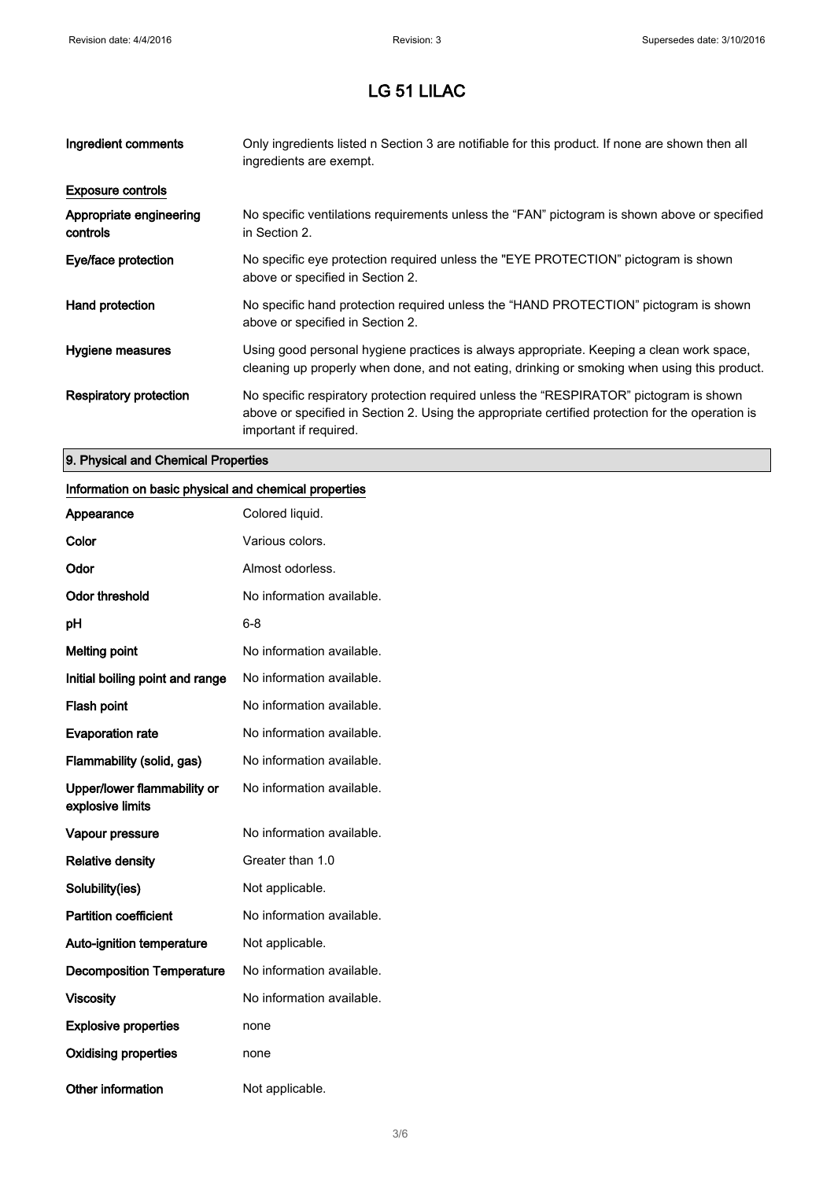| Ingredient comments                 | Only ingredients listed n Section 3 are notifiable for this product. If none are shown then all<br>ingredients are exempt.                                                                                           |
|-------------------------------------|----------------------------------------------------------------------------------------------------------------------------------------------------------------------------------------------------------------------|
| <b>Exposure controls</b>            |                                                                                                                                                                                                                      |
| Appropriate engineering<br>controls | No specific ventilations requirements unless the "FAN" pictogram is shown above or specified<br>in Section 2.                                                                                                        |
| Eye/face protection                 | No specific eye protection required unless the "EYE PROTECTION" pictogram is shown<br>above or specified in Section 2.                                                                                               |
| Hand protection                     | No specific hand protection required unless the "HAND PROTECTION" pictogram is shown<br>above or specified in Section 2.                                                                                             |
| Hygiene measures                    | Using good personal hygiene practices is always appropriate. Keeping a clean work space,<br>cleaning up properly when done, and not eating, drinking or smoking when using this product.                             |
| Respiratory protection              | No specific respiratory protection required unless the "RESPIRATOR" pictogram is shown<br>above or specified in Section 2. Using the appropriate certified protection for the operation is<br>important if required. |

### 9. Physical and Chemical Properties

#### Information on basic physical and chemical properties

| Appearance                                      | Colored liquid.           |
|-------------------------------------------------|---------------------------|
| Color                                           | Various colors.           |
| Odor                                            | Almost odorless.          |
| <b>Odor threshold</b>                           | No information available. |
| рH                                              | 6-8                       |
| <b>Melting point</b>                            | No information available. |
| Initial boiling point and range                 | No information available. |
| <b>Flash point</b>                              | No information available. |
| <b>Evaporation rate</b>                         | No information available. |
| Flammability (solid, gas)                       | No information available. |
| Upper/lower flammability or<br>explosive limits | No information available. |
| Vapour pressure                                 | No information available. |
| <b>Relative density</b>                         | Greater than 1.0          |
| Solubility(ies)                                 | Not applicable.           |
| <b>Partition coefficient</b>                    | No information available. |
| <b>Auto-ignition temperature</b>                | Not applicable.           |
| <b>Decomposition Temperature</b>                | No information available. |
| <b>Viscosity</b>                                | No information available. |
| <b>Explosive properties</b>                     | none                      |
| <b>Oxidising properties</b>                     | none                      |
| Other information                               | Not applicable.           |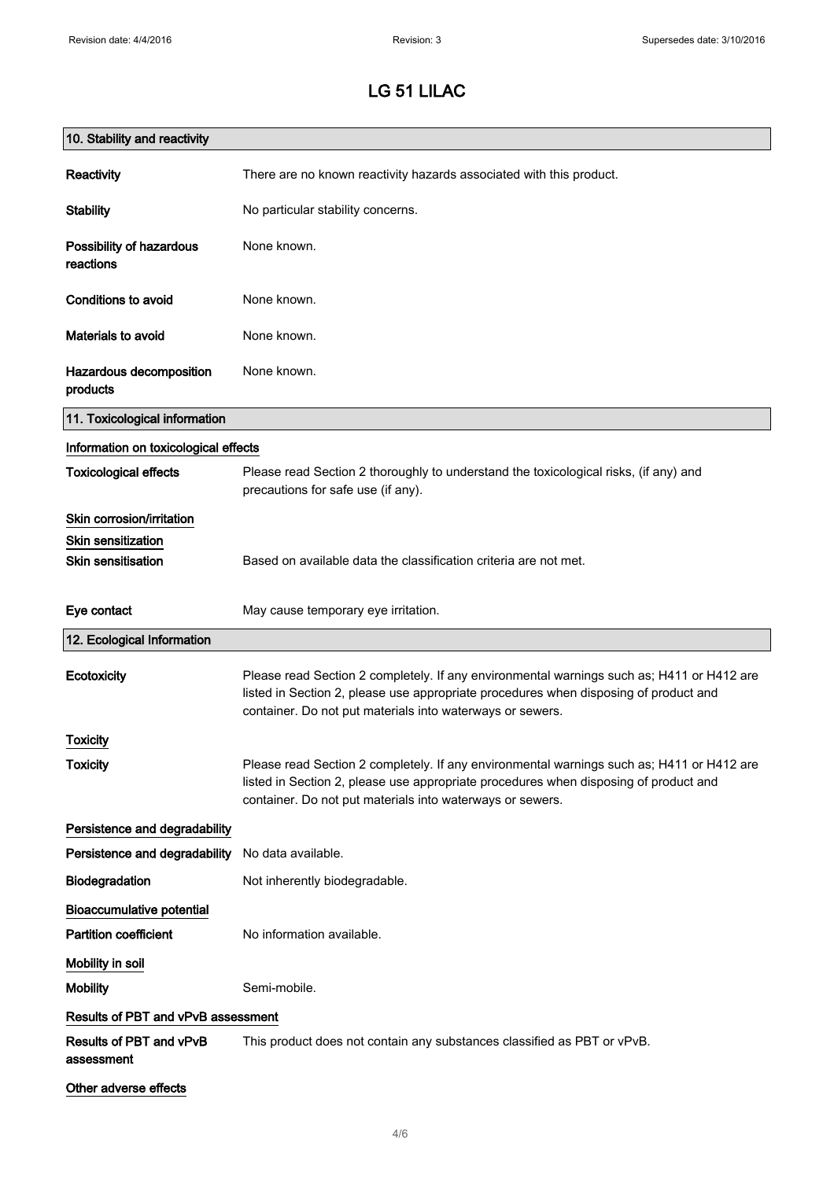| 10. Stability and reactivity          |                                                                                                                                                                                                                                                |
|---------------------------------------|------------------------------------------------------------------------------------------------------------------------------------------------------------------------------------------------------------------------------------------------|
| Reactivity                            | There are no known reactivity hazards associated with this product.                                                                                                                                                                            |
| <b>Stability</b>                      | No particular stability concerns.                                                                                                                                                                                                              |
| Possibility of hazardous<br>reactions | None known.                                                                                                                                                                                                                                    |
| <b>Conditions to avoid</b>            | None known.                                                                                                                                                                                                                                    |
| <b>Materials to avoid</b>             | None known.                                                                                                                                                                                                                                    |
| Hazardous decomposition<br>products   | None known.                                                                                                                                                                                                                                    |
| 11. Toxicological information         |                                                                                                                                                                                                                                                |
| Information on toxicological effects  |                                                                                                                                                                                                                                                |
| <b>Toxicological effects</b>          | Please read Section 2 thoroughly to understand the toxicological risks, (if any) and<br>precautions for safe use (if any).                                                                                                                     |
| Skin corrosion/irritation             |                                                                                                                                                                                                                                                |
| <b>Skin sensitization</b>             |                                                                                                                                                                                                                                                |
| <b>Skin sensitisation</b>             | Based on available data the classification criteria are not met.                                                                                                                                                                               |
| Eye contact                           | May cause temporary eye irritation.                                                                                                                                                                                                            |
| 12. Ecological Information            |                                                                                                                                                                                                                                                |
| Ecotoxicity                           | Please read Section 2 completely. If any environmental warnings such as; H411 or H412 are<br>listed in Section 2, please use appropriate procedures when disposing of product and<br>container. Do not put materials into waterways or sewers. |
| <b>Toxicity</b>                       |                                                                                                                                                                                                                                                |
| <b>Toxicity</b>                       | Please read Section 2 completely. If any environmental warnings such as; H411 or H412 are<br>listed in Section 2, please use appropriate procedures when disposing of product and<br>container. Do not put materials into waterways or sewers. |
| Persistence and degradability         |                                                                                                                                                                                                                                                |
| Persistence and degradability         | No data available.                                                                                                                                                                                                                             |
| Biodegradation                        | Not inherently biodegradable.                                                                                                                                                                                                                  |
| <b>Bioaccumulative potential</b>      |                                                                                                                                                                                                                                                |
| <b>Partition coefficient</b>          | No information available.                                                                                                                                                                                                                      |
| Mobility in soil                      |                                                                                                                                                                                                                                                |
| <b>Mobility</b>                       | Semi-mobile.                                                                                                                                                                                                                                   |
| Results of PBT and vPvB assessment    |                                                                                                                                                                                                                                                |
| Results of PBT and vPvB<br>assessment | This product does not contain any substances classified as PBT or vPvB.                                                                                                                                                                        |
| Other adverse effects                 |                                                                                                                                                                                                                                                |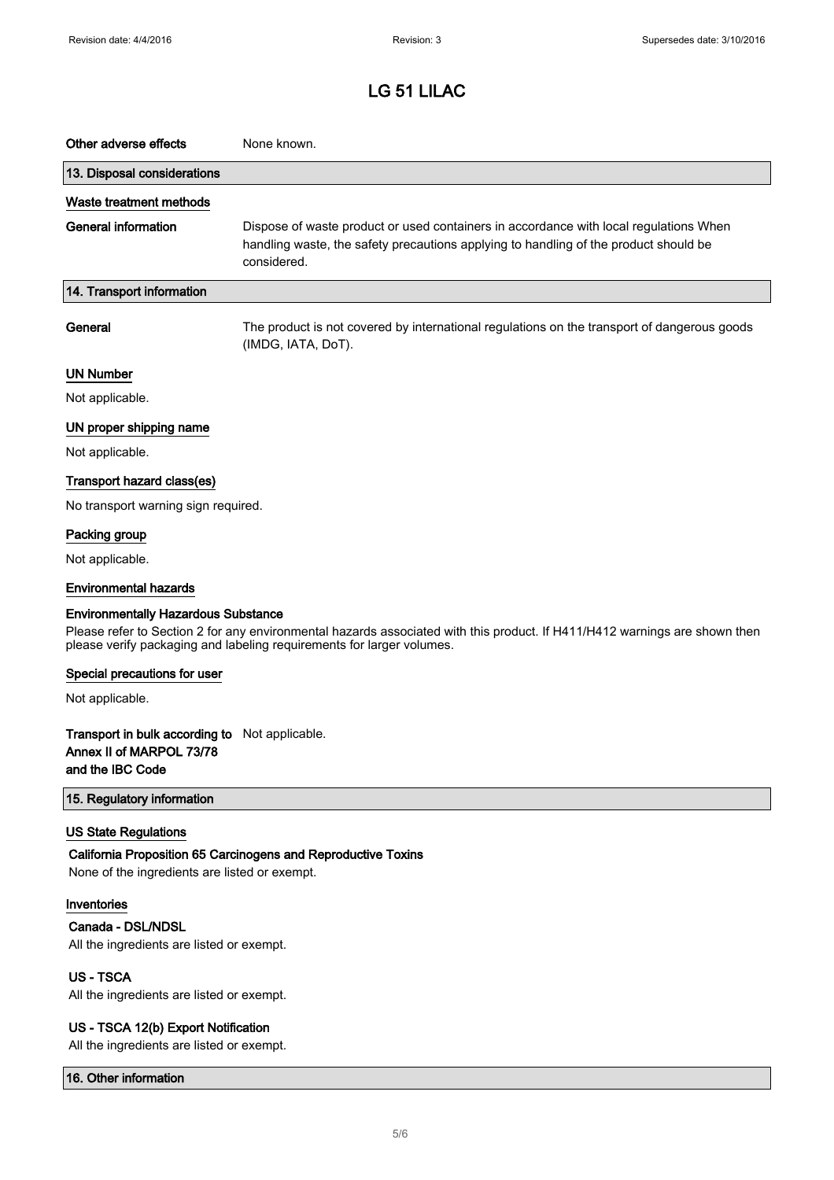| Other adverse effects                                                                                                                                                                                                                             | None known.                                                                                                                                                                                  |  |
|---------------------------------------------------------------------------------------------------------------------------------------------------------------------------------------------------------------------------------------------------|----------------------------------------------------------------------------------------------------------------------------------------------------------------------------------------------|--|
| 13. Disposal considerations                                                                                                                                                                                                                       |                                                                                                                                                                                              |  |
| Waste treatment methods                                                                                                                                                                                                                           |                                                                                                                                                                                              |  |
| <b>General information</b>                                                                                                                                                                                                                        | Dispose of waste product or used containers in accordance with local regulations When<br>handling waste, the safety precautions applying to handling of the product should be<br>considered. |  |
| 14. Transport information                                                                                                                                                                                                                         |                                                                                                                                                                                              |  |
| General                                                                                                                                                                                                                                           | The product is not covered by international regulations on the transport of dangerous goods<br>(IMDG, IATA, DoT).                                                                            |  |
| <b>UN Number</b>                                                                                                                                                                                                                                  |                                                                                                                                                                                              |  |
| Not applicable.                                                                                                                                                                                                                                   |                                                                                                                                                                                              |  |
| UN proper shipping name                                                                                                                                                                                                                           |                                                                                                                                                                                              |  |
| Not applicable.                                                                                                                                                                                                                                   |                                                                                                                                                                                              |  |
| Transport hazard class(es)                                                                                                                                                                                                                        |                                                                                                                                                                                              |  |
| No transport warning sign required.                                                                                                                                                                                                               |                                                                                                                                                                                              |  |
| Packing group                                                                                                                                                                                                                                     |                                                                                                                                                                                              |  |
| Not applicable.                                                                                                                                                                                                                                   |                                                                                                                                                                                              |  |
| <b>Environmental hazards</b>                                                                                                                                                                                                                      |                                                                                                                                                                                              |  |
| <b>Environmentally Hazardous Substance</b><br>Please refer to Section 2 for any environmental hazards associated with this product. If H411/H412 warnings are shown then<br>please verify packaging and labeling requirements for larger volumes. |                                                                                                                                                                                              |  |
| Special precautions for user                                                                                                                                                                                                                      |                                                                                                                                                                                              |  |
| Not applicable.                                                                                                                                                                                                                                   |                                                                                                                                                                                              |  |
| Transport in bulk according to Not applicable.<br>Annex II of MARPOL 73/78<br>and the IBC Code                                                                                                                                                    |                                                                                                                                                                                              |  |
| 15. Regulatory information                                                                                                                                                                                                                        |                                                                                                                                                                                              |  |
| <b>US State Regulations</b>                                                                                                                                                                                                                       |                                                                                                                                                                                              |  |
| None of the ingredients are listed or exempt.                                                                                                                                                                                                     | California Proposition 65 Carcinogens and Reproductive Toxins                                                                                                                                |  |
| Inventories                                                                                                                                                                                                                                       |                                                                                                                                                                                              |  |
| Canada - DSL/NDSL<br>All the ingredients are listed or exempt.                                                                                                                                                                                    |                                                                                                                                                                                              |  |
| <b>US-TSCA</b>                                                                                                                                                                                                                                    |                                                                                                                                                                                              |  |
| All the ingredients are listed or exempt.                                                                                                                                                                                                         |                                                                                                                                                                                              |  |
| US - TSCA 12(b) Export Notification<br>All the ingredients are listed or exempt.                                                                                                                                                                  |                                                                                                                                                                                              |  |

16. Other information